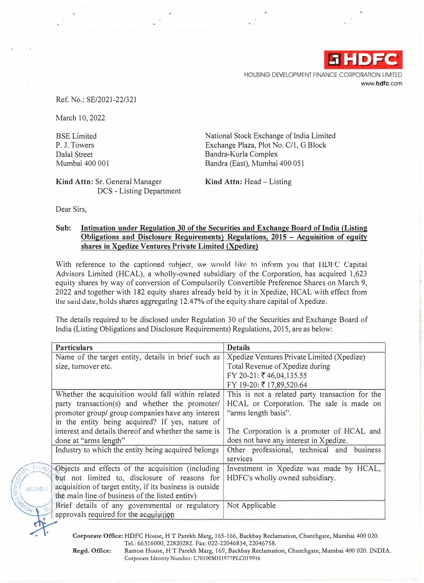

HOUSING DEVELOPMENT FINANCE CORPORATION LIMITED www.hdfc.com

Ref. No.: SE/2021-22/321

March 10, 2022

BSE Limited P. J. Towers Dalal Street<br>Mumbai 400 001 National Stock Exchange of India Limited Exchange Plaza, Plot No. C/1, G Block Bandra-Kurla Complex Bandra (East), Mumbai 400 051

**Kind Attn: Sr. General Manager <b>Kind Attn: Head** - Listing DCS - Listing Department

Dear Sirs,

## **Sub: Intimation under Regulation 30 of the Securities and Exchange Board of India {Listing**  Obligations and Disclosure Requirements) Regulations, 2015 - Acquisition of equity shares in Xpedize Ventures Private Limited (Xpedize)

With reference to the captioned subject, we would like to inform you that HDFC Capital Advisors Limited (HCAL), a wholly-owned subsidiary of the Corporation, has acquired 1,623 equity shares by way of conversion of Compulsorily Convertible Preference Shares on March 9, 2022 and together with 182 equity shares already held by it in Xpedize, HCAL with effect from the said date, holds shares aggregating 12.47% of the equity share capital of Xpedize.

The details required to be disclosed under Regulation 30 of the Securities and Exchange Board of India (Listing Obligations and Disclosure Requirements) Regulations, 2015, are as below:

|               | <b>Particulars</b>                                       | <b>Details</b>                                  |
|---------------|----------------------------------------------------------|-------------------------------------------------|
|               | Name of the target entity, details in brief such as      | Xpedize Ventures Private Limited (Xpedize)      |
|               | size, turnover etc.                                      | Total Revenue of Xpedize during                 |
|               |                                                          | FY 20-21: ₹46,04,135.55                         |
|               |                                                          | FY 19-20: ₹17,89,520.64                         |
|               | Whether the acquisition would fall within related        | This is not a related party transaction for the |
|               | party transaction(s) and whether the promoter/           | HCAL or Corporation. The sale is made on        |
|               | promoter group/ group companies have any interest        | "arms length basis".                            |
|               | in the entity being acquired? If yes, nature of          |                                                 |
|               | interest and details thereof and whether the same is     | The Corporation is a promoter of HCAL and       |
|               | done at "arms length"                                    | does not have any interest in Xpedize.          |
|               | Industry to which the entity being acquired belongs      | Other professional, technical and business      |
|               |                                                          | services                                        |
|               | Objects and effects of the acquisition (including        | Investment in Xpedize was made by HCAL,         |
|               | but not limited to, disclosure of reasons for            | HDFC's wholly owned subsidiary.                 |
| <b>MUMBA!</b> | acquisition of target entity, if its business is outside |                                                 |
|               | the main line of business of the listed entity)          |                                                 |
|               | Brief details of any governmental or regulatory          | Not Applicable                                  |
|               | approvals required for the acquisition                   |                                                 |

**Corporate Office:** HDFC House, HT Parekh Marg, 165-166, Backbay Reclamation, Churchgate, Mumbai 400 020. Tel.: 66316000, 22820282. Fax: 022-22046834, 22046758.

**Regd. Office:** Ramon House, HT Parekh Marg, 169, Backbay Reclamation, Churchgate, Mumbai 400 020. INDIA. Corporate Identity Number: L70100MH1977PLC019916